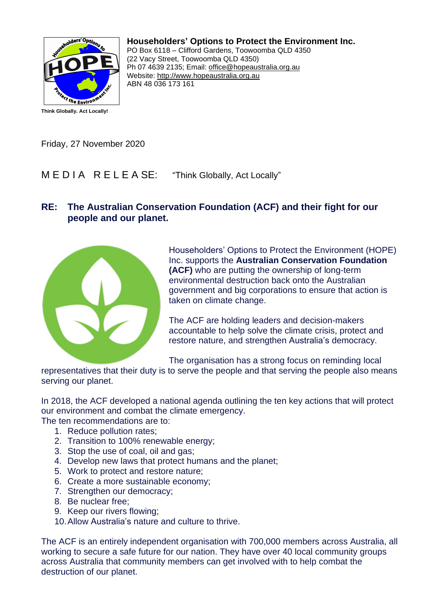

**Householders' Options to Protect the Environment Inc.**

PO Box 6118 – Clifford Gardens, Toowoomba QLD 4350 (22 Vacy Street, Toowoomba QLD 4350) Ph 07 4639 2135; Email: office@hopeaustralia.org.au Website: http://www.hopeaustralia.org.au ABN 48 036 173 161

Friday, 27 November 2020

M E D I A R E L E A SE: "Think Globally, Act Locally"

## **RE: The Australian Conservation Foundation (ACF) and their fight for our people and our planet.**



Householders' Options to Protect the Environment (HOPE) Inc. supports the **Australian Conservation Foundation (ACF)** who are putting the ownership of long-term environmental destruction back onto the Australian government and big corporations to ensure that action is taken on climate change.

The ACF are holding leaders and decision-makers accountable to help solve the climate crisis, protect and restore nature, and strengthen Australia's democracy.

The organisation has a strong focus on reminding local

representatives that their duty is to serve the people and that serving the people also means serving our planet.

In 2018, the ACF developed a national agenda outlining the ten key actions that will protect our environment and combat the climate emergency.

The ten recommendations are to:

- 1. Reduce pollution rates;
- 2. Transition to 100% renewable energy;
- 3. Stop the use of coal, oil and gas;
- 4. Develop new laws that protect humans and the planet;
- 5. Work to protect and restore nature;
- 6. Create a more sustainable economy;
- 7. Strengthen our democracy;
- 8. Be nuclear free;
- 9. Keep our rivers flowing;
- 10.Allow Australia's nature and culture to thrive.

The ACF is an entirely independent organisation with 700,000 members across Australia, all working to secure a safe future for our nation. They have over 40 local community groups across Australia that community members can get involved with to help combat the destruction of our planet.